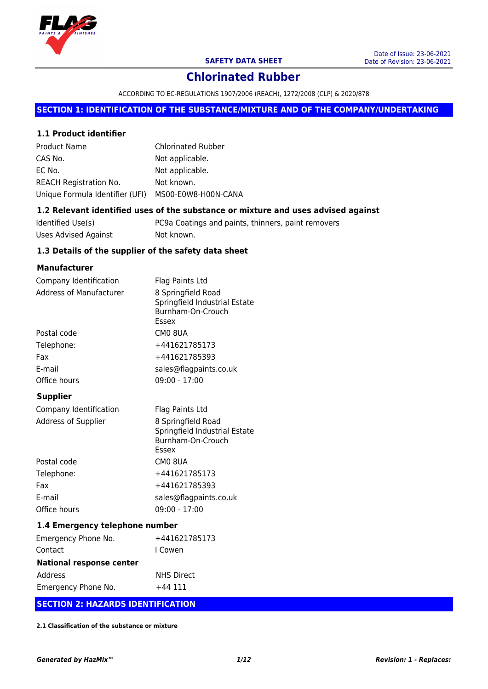

ACCORDING TO EC-REGULATIONS 1907/2006 (REACH), 1272/2008 (CLP) & 2020/878

#### **SECTION 1: IDENTIFICATION OF THE SUBSTANCE/MIXTURE AND OF THE COMPANY/UNDERTAKING**

#### **1.1 Product identifier**

| <b>Product Name</b>             | <b>Chlorinated Rubber</b> |
|---------------------------------|---------------------------|
| CAS No.                         | Not applicable.           |
| EC No.                          | Not applicable.           |
| <b>REACH Registration No.</b>   | Not known.                |
| Unique Formula Identifier (UFI) | MS00-E0W8-H00N-CANA       |

#### **1.2 Relevant identified uses of the substance or mixture and uses advised against**

| Identified Use(s)    | PC9a Coatings and paints, thinners, paint removers |
|----------------------|----------------------------------------------------|
| Uses Advised Against | Not known.                                         |

#### **1.3 Details of the supplier of the safety data sheet**

#### **Manufacturer**

| Company Identification  | Flag Paints Ltd                                                                   |  |  |  |  |
|-------------------------|-----------------------------------------------------------------------------------|--|--|--|--|
| Address of Manufacturer | 8 Springfield Road<br>Springfield Industrial Estate<br>Burnham-On-Crouch<br>Essex |  |  |  |  |
| Postal code             | CM0 8UA                                                                           |  |  |  |  |
| Telephone:              | +441621785173                                                                     |  |  |  |  |
| Fax                     | +441621785393<br>sales@flagpaints.co.uk                                           |  |  |  |  |
| E-mail                  |                                                                                   |  |  |  |  |
| Office hours            | $09:00 - 17:00$                                                                   |  |  |  |  |
| <b>Supplier</b>         |                                                                                   |  |  |  |  |
| Company Identification  | Flag Paints Ltd                                                                   |  |  |  |  |
| Address of Supplier     | 8 Springfield Road<br>Springfield Industrial Estate                               |  |  |  |  |

|              | Burnham-On-Crouch<br>Essex |
|--------------|----------------------------|
| Postal code  | CM0 8UA                    |
| Telephone:   | +441621785173              |
| Fax          | +441621785393              |
| E-mail       | sales@flagpaints.co.uk     |
| Office hours | $09:00 - 17:00$            |

#### **1.4 Emergency telephone number**

| Emergency Phone No.             | +441621785173     |  |  |  |
|---------------------------------|-------------------|--|--|--|
| Contact                         | I Cowen           |  |  |  |
| <b>National response center</b> |                   |  |  |  |
| Address                         | <b>NHS Direct</b> |  |  |  |
| Emergency Phone No.             | +44 111           |  |  |  |

#### **SECTION 2: HAZARDS IDENTIFICATION**

**2.1 Classification of the substance or mixture**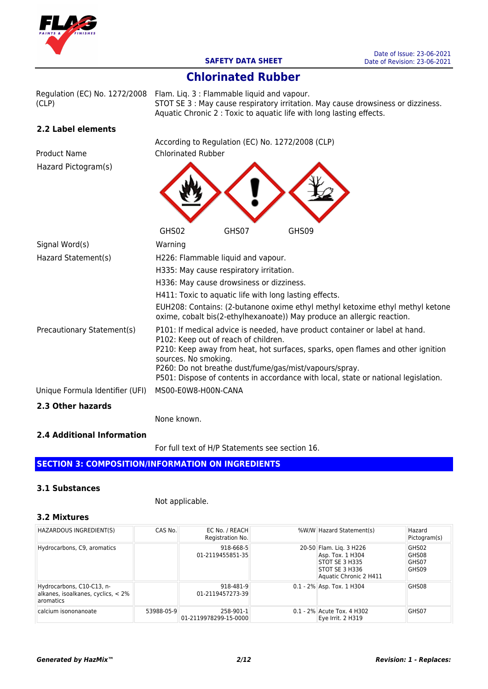

## **Chlorinated Rubber**

Regulation (EC) No. 1272/2008 Flam. Liq. 3 : Flammable liquid and vapour. STOT SE 3 : May cause respiratory irritation. May cause drowsiness or dizziness. (CLP) Aquatic Chronic 2 : Toxic to aquatic life with long lasting effects. **2.2 Label elements** According to Regulation (EC) No. 1272/2008 (CLP) Product Name Chlorinated Rubber Hazard Pictogram(s)  $\checkmark$ **NO.** 

|                                 | GHS02                                                  | GHS07 | GHS09                                                                                                                                                   |
|---------------------------------|--------------------------------------------------------|-------|---------------------------------------------------------------------------------------------------------------------------------------------------------|
| Signal Word(s)                  | Warning                                                |       |                                                                                                                                                         |
| Hazard Statement(s)             | H226: Flammable liquid and vapour.                     |       |                                                                                                                                                         |
|                                 | H335: May cause respiratory irritation.                |       |                                                                                                                                                         |
|                                 | H336: May cause drowsiness or dizziness.               |       |                                                                                                                                                         |
|                                 | H411: Toxic to aquatic life with long lasting effects. |       |                                                                                                                                                         |
|                                 |                                                        |       | EUH208: Contains: (2-butanone oxime ethyl methyl ketoxime ethyl methyl ketone<br>oxime, cobalt bis(2-ethylhexanoate)) May produce an allergic reaction. |
| Precautionary Statement(s)      | P102: Keep out of reach of children.                   |       | P101: If medical advice is needed, have product container or label at hand.                                                                             |
|                                 | sources. No smoking.                                   |       | P210: Keep away from heat, hot surfaces, sparks, open flames and other ignition<br>P260: Do not breathe dust/fume/gas/mist/vapours/spray.               |
|                                 |                                                        |       | P501: Dispose of contents in accordance with local, state or national legislation.                                                                      |
| Unique Formula Identifier (UFI) | MS00-E0W8-H00N-CANA                                    |       |                                                                                                                                                         |
| 2.3 Other hazards               |                                                        |       |                                                                                                                                                         |

None known.

#### **2.4 Additional Information**

For full text of H/P Statements see section 16.

## **SECTION 3: COMPOSITION/INFORMATION ON INGREDIENTS**

#### **3.1 Substances**

#### Not applicable.

#### **3.2 Mixtures**

| HAZARDOUS INGREDIENT(S)                                                      | CAS No.    | EC No. / REACH<br>Registration No. | %W/W Hazard Statement(s)                                                                                  | Hazard<br>Pictogram(s)           |
|------------------------------------------------------------------------------|------------|------------------------------------|-----------------------------------------------------------------------------------------------------------|----------------------------------|
| Hydrocarbons, C9, aromatics                                                  |            | 918-668-5<br>01-2119455851-35      | 20-50 Flam. Lig. 3 H226<br>Asp. Tox. 1 H304<br>STOT SE 3 H335<br>STOT SE 3 H336<br>Aquatic Chronic 2 H411 | GHS02<br>GHS08<br>GHS07<br>GHS09 |
| Hydrocarbons, C10-C13, n-<br>alkanes, isoalkanes, cyclics, < 2%<br>aromatics |            | 918-481-9<br>01-2119457273-39      | $0.1 - 2\%$ Asp. Tox. 1 H304                                                                              | GHS08                            |
| calcium isononanoate                                                         | 53988-05-9 | 258-901-1<br>01-2119978299-15-0000 | 0.1 - 2% Acute Tox. 4 H302<br>Eye Irrit. 2 H319                                                           | GHS07                            |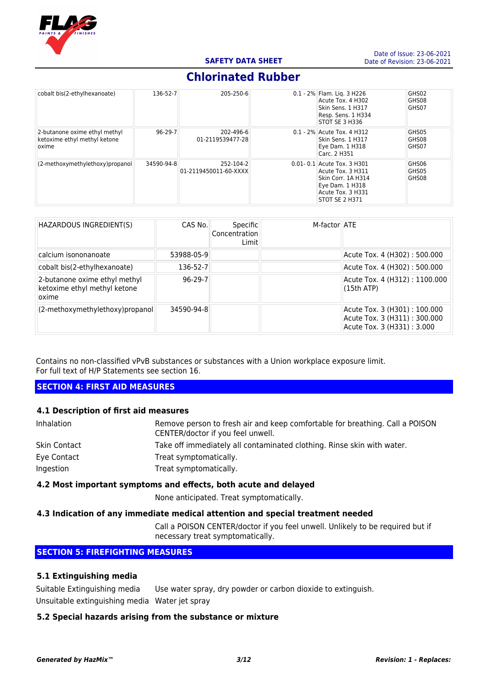

| cobalt bis(2-ethylhexanoate)                                           | 136-52-7      | 205-250-6                          | 0.1 - 2% Flam. Lig. 3 H226<br>Acute Tox, 4 H302<br>Skin Sens. 1 H317<br>Resp. Sens. 1 H334<br>STOT SE 3 H336                        | GHS02<br>GHS08<br>GHS07 |
|------------------------------------------------------------------------|---------------|------------------------------------|-------------------------------------------------------------------------------------------------------------------------------------|-------------------------|
| 2-butanone oxime ethyl methyl<br>ketoxime ethyl methyl ketone<br>oxime | $96 - 29 - 7$ | 202-496-6<br>01-2119539477-28      | 0.1 - 2% Acute Tox. 4 H312<br>Skin Sens. 1 H317<br>Eye Dam. 1 H318<br>Carc. 2 H351                                                  | GHS05<br>GHS08<br>GHS07 |
| (2-methoxymethylethoxy)propanol                                        | 34590-94-8    | 252-104-2<br>01-2119450011-60-XXXX | $0.01 - 0.1$ Acute Tox. 3 H301<br>Acute Tox. 3 H311<br>Skin Corr. 1A H314<br>Eye Dam. 1 H318<br>Acute Tox. 3 H331<br>STOT SE 2 H371 | GHS06<br>GHS05<br>GHS08 |

| HAZARDOUS INGREDIENT(S)                                                | CAS No.        | Specific<br>Concentration<br>Limit | M-factor ATE |                                                                                            |
|------------------------------------------------------------------------|----------------|------------------------------------|--------------|--------------------------------------------------------------------------------------------|
| calcium isononanoate                                                   | 53988-05-9     |                                    |              | Acute Tox. 4 (H302): 500.000                                                               |
| cobalt bis(2-ethylhexanoate)                                           | $136 - 52 - 7$ |                                    |              | Acute Tox. 4 (H302): 500.000                                                               |
| 2-butanone oxime ethyl methyl<br>ketoxime ethyl methyl ketone<br>oxime | $96 - 29 - 7$  |                                    |              | Acute Tox. 4 (H312): 1100.000<br>(15th ATP)                                                |
| (2-methoxymethylethoxy)propanol                                        | 34590-94-8     |                                    |              | Acute Tox. 3 (H301): 100.000<br>Acute Tox. 3 (H311): 300.000<br>Acute Tox. 3 (H331): 3.000 |

Contains no non-classified vPvB substances or substances with a Union workplace exposure limit. For full text of H/P Statements see section 16.

#### **SECTION 4: FIRST AID MEASURES**

#### **4.1 Description of first aid measures**

| Inhalation   | Remove person to fresh air and keep comfortable for breathing. Call a POISON<br>CENTER/doctor if you feel unwell. |
|--------------|-------------------------------------------------------------------------------------------------------------------|
| Skin Contact | Take off immediately all contaminated clothing. Rinse skin with water.                                            |
| Eye Contact  | Treat symptomatically.                                                                                            |
| Ingestion    | Treat symptomatically.                                                                                            |

#### **4.2 Most important symptoms and effects, both acute and delayed**

None anticipated. Treat symptomatically.

#### **4.3 Indication of any immediate medical attention and special treatment needed**

Call a POISON CENTER/doctor if you feel unwell. Unlikely to be required but if necessary treat symptomatically.

#### **SECTION 5: FIREFIGHTING MEASURES**

#### **5.1 Extinguishing media**

Suitable Extinguishing media Use water spray, dry powder or carbon dioxide to extinguish. Unsuitable extinguishing media Water jet spray

#### **5.2 Special hazards arising from the substance or mixture**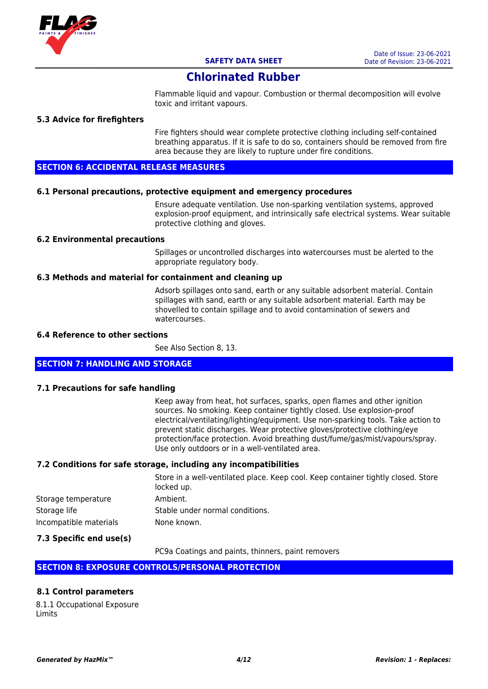

Flammable liquid and vapour. Combustion or thermal decomposition will evolve toxic and irritant vapours.

#### **5.3 Advice for firefighters**

Fire fighters should wear complete protective clothing including self-contained breathing apparatus. If it is safe to do so, containers should be removed from fire area because they are likely to rupture under fire conditions.

#### **SECTION 6: ACCIDENTAL RELEASE MEASURES**

#### **6.1 Personal precautions, protective equipment and emergency procedures**

Ensure adequate ventilation. Use non-sparking ventilation systems, approved explosion-proof equipment, and intrinsically safe electrical systems. Wear suitable protective clothing and gloves.

#### **6.2 Environmental precautions**

Spillages or uncontrolled discharges into watercourses must be alerted to the appropriate regulatory body.

#### **6.3 Methods and material for containment and cleaning up**

Adsorb spillages onto sand, earth or any suitable adsorbent material. Contain spillages with sand, earth or any suitable adsorbent material. Earth may be shovelled to contain spillage and to avoid contamination of sewers and watercourses.

#### **6.4 Reference to other sections**

See Also Section 8, 13.

#### **SECTION 7: HANDLING AND STORAGE**

#### **7.1 Precautions for safe handling**

Keep away from heat, hot surfaces, sparks, open flames and other ignition sources. No smoking. Keep container tightly closed. Use explosion-proof electrical/ventilating/lighting/equipment. Use non-sparking tools. Take action to prevent static discharges. Wear protective gloves/protective clothing/eye protection/face protection. Avoid breathing dust/fume/gas/mist/vapours/spray. Use only outdoors or in a well-ventilated area.

#### **7.2 Conditions for safe storage, including any incompatibilities**

|                        | Store in a well-ventilated place. Keep cool. Keep container tightly closed. Store<br>locked up. |
|------------------------|-------------------------------------------------------------------------------------------------|
| Storage temperature    | Ambient.                                                                                        |
| Storage life           | Stable under normal conditions.                                                                 |
| Incompatible materials | None known.                                                                                     |

#### **7.3 Specific end use(s)**

PC9a Coatings and paints, thinners, paint removers

#### **SECTION 8: EXPOSURE CONTROLS/PERSONAL PROTECTION**

#### **8.1 Control parameters**

8.1.1 Occupational Exposure Limits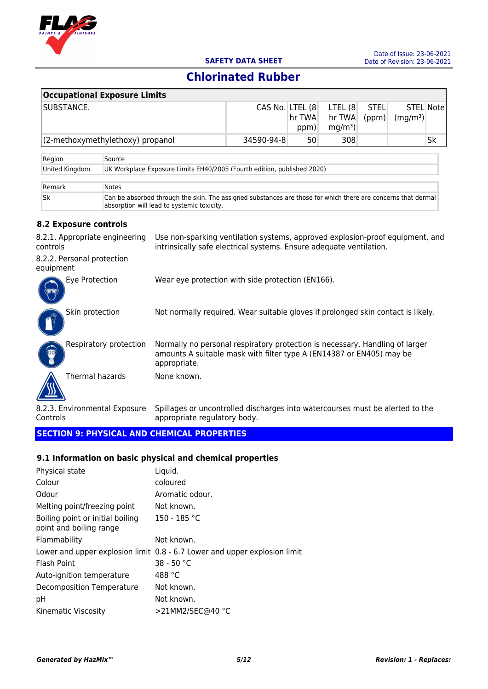

|                                            | <b>Occupational Exposure Limits</b>                                                                                                                                            |                                                                                                                                                            |                |                                        |                      |                      |           |    |
|--------------------------------------------|--------------------------------------------------------------------------------------------------------------------------------------------------------------------------------|------------------------------------------------------------------------------------------------------------------------------------------------------------|----------------|----------------------------------------|----------------------|----------------------|-----------|----|
| SUBSTANCE.                                 |                                                                                                                                                                                | CAS No. LTEL (8                                                                                                                                            | hr TWA<br>ppm) | LTEL (8<br>hr TWA<br>mg/m <sup>3</sup> | <b>STEL</b><br>(ppm) | (mg/m <sup>3</sup> ) | STEL Note |    |
|                                            | (2-methoxymethylethoxy) propanol                                                                                                                                               |                                                                                                                                                            | 34590-94-8     | 50                                     | 308                  |                      |           | Sk |
| Region                                     | Source                                                                                                                                                                         |                                                                                                                                                            |                |                                        |                      |                      |           |    |
| United Kingdom                             |                                                                                                                                                                                | UK Workplace Exposure Limits EH40/2005 (Fourth edition, published 2020)                                                                                    |                |                                        |                      |                      |           |    |
| Remark                                     | <b>Notes</b>                                                                                                                                                                   |                                                                                                                                                            |                |                                        |                      |                      |           |    |
| Sk                                         |                                                                                                                                                                                | Can be absorbed through the skin. The assigned substances are those for which there are concerns that dermal<br>absorption will lead to systemic toxicity. |                |                                        |                      |                      |           |    |
| 8.2 Exposure controls                      |                                                                                                                                                                                |                                                                                                                                                            |                |                                        |                      |                      |           |    |
| 8.2.1. Appropriate engineering<br>controls |                                                                                                                                                                                | Use non-sparking ventilation systems, approved explosion-proof equipment, and<br>intrinsically safe electrical systems. Ensure adequate ventilation.       |                |                                        |                      |                      |           |    |
| 8.2.2. Personal protection<br>equipment    |                                                                                                                                                                                |                                                                                                                                                            |                |                                        |                      |                      |           |    |
| Eye Protection                             |                                                                                                                                                                                | Wear eye protection with side protection (EN166).                                                                                                          |                |                                        |                      |                      |           |    |
| Skin protection                            |                                                                                                                                                                                | Not normally required. Wear suitable gloves if prolonged skin contact is likely.                                                                           |                |                                        |                      |                      |           |    |
|                                            | Normally no personal respiratory protection is necessary. Handling of larger<br>Respiratory protection<br>amounts A suitable mask with filter type A (EN14387 or EN405) may be |                                                                                                                                                            |                |                                        |                      |                      |           |    |

Thermal hazards None known.

8.2.3. Environmental Exposure Controls Spillages or uncontrolled discharges into watercourses must be alerted to the appropriate regulatory body.

#### **SECTION 9: PHYSICAL AND CHEMICAL PROPERTIES**

#### **9.1 Information on basic physical and chemical properties**

appropriate.

| Physical state                                              | Liquid.                                                                   |
|-------------------------------------------------------------|---------------------------------------------------------------------------|
| Colour                                                      | coloured                                                                  |
| Odour                                                       | Aromatic odour.                                                           |
| Melting point/freezing point                                | Not known.                                                                |
| Boiling point or initial boiling<br>point and boiling range | 150 - 185 °C                                                              |
| Flammability                                                | Not known.                                                                |
|                                                             | Lower and upper explosion limit 0.8 - 6.7 Lower and upper explosion limit |
| Flash Point                                                 | $38 - 50 °C$                                                              |
| Auto-ignition temperature                                   | 488 °C                                                                    |
| Decomposition Temperature                                   | Not known.                                                                |
| рH                                                          | Not known.                                                                |
| Kinematic Viscosity                                         | >21MM2/SEC@40 °C                                                          |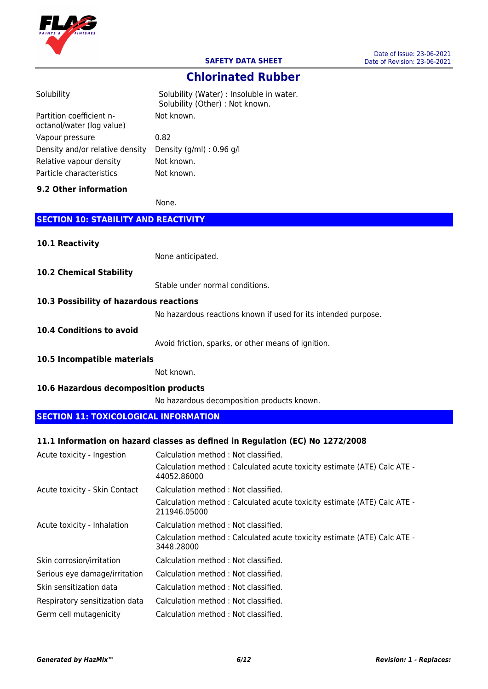

**Chlorinated Rubber**

| Solubility                                            | Solubility (Water) : Insoluble in water.<br>Solubility (Other) : Not known.             |
|-------------------------------------------------------|-----------------------------------------------------------------------------------------|
| Partition coefficient n-<br>octanol/water (log value) | Not known.                                                                              |
| Vapour pressure                                       | 0.82                                                                                    |
| Density and/or relative density                       | Density (g/ml) : 0.96 g/l                                                               |
| Relative vapour density                               | Not known.                                                                              |
| Particle characteristics                              | Not known.                                                                              |
| 9.2 Other information                                 |                                                                                         |
|                                                       | None.                                                                                   |
| <b>SECTION 10: STABILITY AND REACTIVITY</b>           |                                                                                         |
| 10.1 Reactivity                                       |                                                                                         |
|                                                       | None anticipated.                                                                       |
| <b>10.2 Chemical Stability</b>                        |                                                                                         |
|                                                       | Stable under normal conditions.                                                         |
| 10.3 Possibility of hazardous reactions               |                                                                                         |
|                                                       | No hazardous reactions known if used for its intended purpose.                          |
| <b>10.4 Conditions to avoid</b>                       |                                                                                         |
|                                                       | Avoid friction, sparks, or other means of ignition.                                     |
| 10.5 Incompatible materials                           |                                                                                         |
|                                                       | Not known.                                                                              |
| 10.6 Hazardous decomposition products                 |                                                                                         |
|                                                       | No hazardous decomposition products known.                                              |
| <b>SECTION 11: TOXICOLOGICAL INFORMATION</b>          |                                                                                         |
|                                                       |                                                                                         |
|                                                       | 11.1 Information on hazard classes as defined in Regulation (EC) No 1272/2008           |
| Acute toxicity - Ingestion                            | Calculation method : Not classified.                                                    |
|                                                       | Calculation method : Calculated acute toxicity estimate (ATE) Calc ATE -<br>44052.86000 |
| Acute toxicity - Skin Contact                         | Calculation method : Not classified.                                                    |
|                                                       | Calculation method: Calculated acute toxicity estimate (ATE) Calc ATE -<br>211946.05000 |
| Acute toxicity - Inhalation                           | Calculation method: Not classified.                                                     |
|                                                       | Calculation method : Calculated acute toxicity estimate (ATE) Calc ATE -<br>3448.28000  |
| Skin corrosion/irritation                             | Calculation method : Not classified.                                                    |
| Serious eye damage/irritation                         | Calculation method: Not classified.                                                     |
| Skin sensitization data                               | Calculation method: Not classified.                                                     |
| Respiratory sensitization data                        | Calculation method : Not classified.                                                    |

Germ cell mutagenicity Calculation method : Not classified.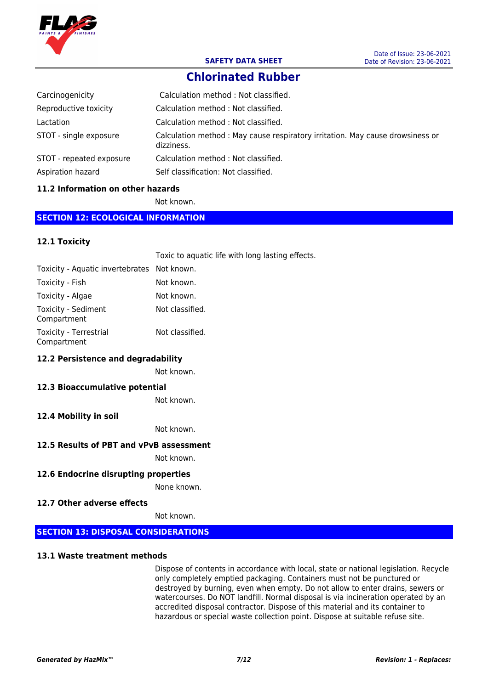

# **Chlorinated Rubber**

| Carcinogenicity          | Calculation method: Not classified.                                                         |
|--------------------------|---------------------------------------------------------------------------------------------|
| Reproductive toxicity    | Calculation method: Not classified.                                                         |
| Lactation                | Calculation method: Not classified.                                                         |
| STOT - single exposure   | Calculation method: May cause respiratory irritation. May cause drowsiness or<br>dizziness. |
| STOT - repeated exposure | Calculation method: Not classified.                                                         |
| Aspiration hazard        | Self classification: Not classified.                                                        |

#### **11.2 Information on other hazards**

Not known.

#### **SECTION 12: ECOLOGICAL INFORMATION**

#### **12.1 Toxicity**

|                                             | Toxic to aquatic life with long lasting effects. |
|---------------------------------------------|--------------------------------------------------|
| Toxicity - Aquatic invertebrates Not known. |                                                  |
| Toxicity - Fish                             | Not known.                                       |
| Toxicity - Algae                            | Not known.                                       |
| Toxicity - Sediment<br>Compartment          | Not classified.                                  |
| Toxicity - Terrestrial<br>Compartment       | Not classified.                                  |

#### **12.2 Persistence and degradability**

Not known.

#### **12.3 Bioaccumulative potential**

Not known.

#### **12.4 Mobility in soil**

Not known.

#### **12.5 Results of PBT and vPvB assessment**

Not known.

#### **12.6 Endocrine disrupting properties**

None known.

#### **12.7 Other adverse effects**

Not known.

#### **SECTION 13: DISPOSAL CONSIDERATIONS**

#### **13.1 Waste treatment methods**

Dispose of contents in accordance with local, state or national legislation. Recycle only completely emptied packaging. Containers must not be punctured or destroyed by burning, even when empty. Do not allow to enter drains, sewers or watercourses. Do NOT landfill. Normal disposal is via incineration operated by an accredited disposal contractor. Dispose of this material and its container to hazardous or special waste collection point. Dispose at suitable refuse site.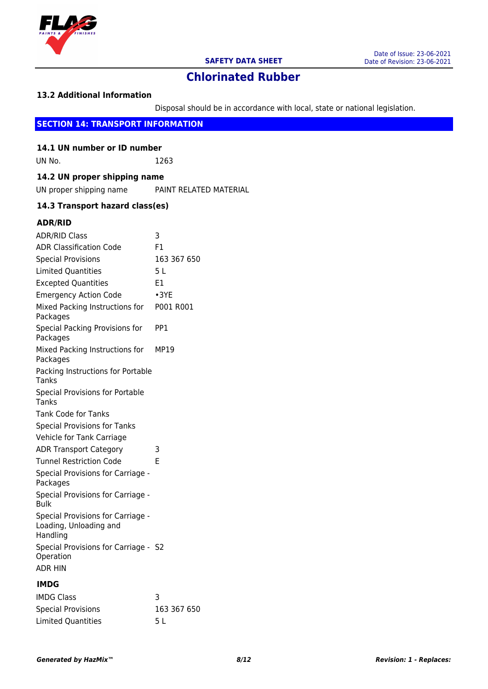

#### **13.2 Additional Information**

Disposal should be in accordance with local, state or national legislation.

## **SECTION 14: TRANSPORT INFORMATION**

**14.1 UN number or ID number** UN No. 1263

# **14.2 UN proper shipping name**

UN proper shipping name PAINT RELATED MATERIAL

#### **14.3 Transport hazard class(es)**

#### **ADR/RID**

| <b>ADR/RID Class</b>                                                    | 3              |
|-------------------------------------------------------------------------|----------------|
| <b>ADR Classification Code</b>                                          | F <sub>1</sub> |
| <b>Special Provisions</b>                                               | 163 367 650    |
| <b>Limited Quantities</b>                                               | 5 <sub>L</sub> |
| <b>Excepted Quantities</b>                                              | E <sub>1</sub> |
| <b>Emergency Action Code</b>                                            | $\cdot$ 3YE    |
| Mixed Packing Instructions for<br>Packages                              | P001 R001      |
| Special Packing Provisions for<br>Packages                              | PP1            |
| Mixed Packing Instructions for<br>Packages                              | MP19           |
| Packing Instructions for Portable<br>Tanks                              |                |
| <b>Special Provisions for Portable</b><br>Tanks                         |                |
| <b>Tank Code for Tanks</b>                                              |                |
| <b>Special Provisions for Tanks</b>                                     |                |
| Vehicle for Tank Carriage                                               |                |
| <b>ADR Transport Category</b>                                           | 3              |
| <b>Tunnel Restriction Code</b>                                          | F              |
| Special Provisions for Carriage -<br>Packages                           |                |
| Special Provisions for Carriage -<br><b>Bulk</b>                        |                |
| Special Provisions for Carriage -<br>Loading, Unloading and<br>Handling |                |
| Special Provisions for Carriage - S2<br>Operation<br><b>ADR HIN</b>     |                |
|                                                                         |                |
|                                                                         |                |

#### **IMDG**

| IMDG Class                |             |
|---------------------------|-------------|
| <b>Special Provisions</b> | 163 367 650 |
| Limited Ouantities        | 5 L         |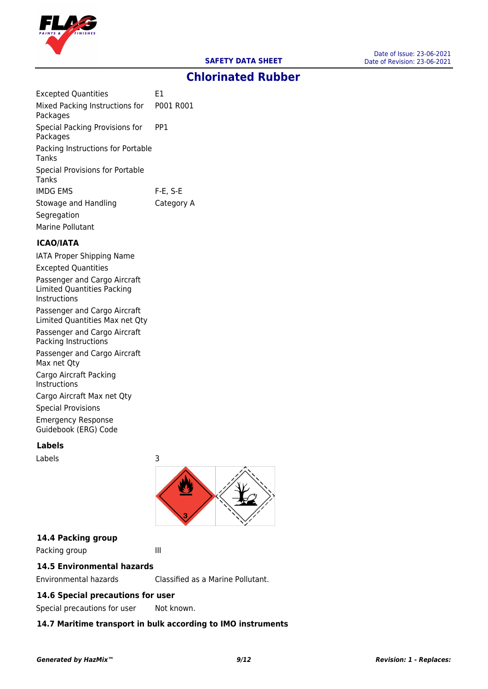

| <b>Excepted Quantities</b>                           | E1          |
|------------------------------------------------------|-------------|
| Mixed Packing Instructions for P001 R001<br>Packages |             |
| Special Packing Provisions for<br>Packages           | PP1         |
| Packing Instructions for Portable<br>Tanks           |             |
| Special Provisions for Portable<br>Tanks             |             |
| <b>IMDG EMS</b>                                      | $F-E$ , S-E |
| Stowage and Handling                                 | Category A  |
| Segregation                                          |             |
| Marine Pollutant                                     |             |

#### **ICAO/IATA**

IATA Proper Shipping Name Excepted Quantities Passenger and Cargo Aircraft Limited Quantities Packing Instructions Passenger and Cargo Aircraft Limited Quantities Max net Qty Passenger and Cargo Aircraft Packing Instructions Passenger and Cargo Aircraft Max net Qty Cargo Aircraft Packing Instructions Cargo Aircraft Max net Qty Special Provisions Emergency Response Guidebook (ERG) Code

#### **Labels**

Labels 3



#### **14.4 Packing group**

Packing group III

## **14.5 Environmental hazards**

Environmental hazards Classified as a Marine Pollutant.

## **14.6 Special precautions for user**

Special precautions for user Not known.

## **14.7 Maritime transport in bulk according to IMO instruments**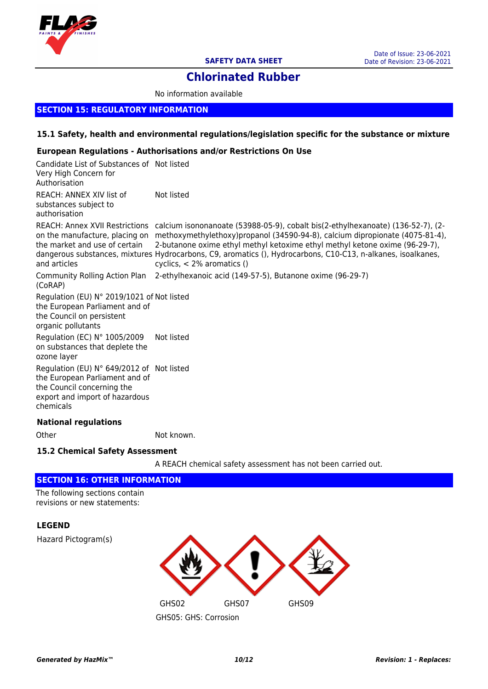

# **Chlorinated Rubber**

No information available

#### **SECTION 15: REGULATORY INFORMATION**

#### **15.1 Safety, health and environmental regulations/legislation specific for the substance or mixture**

#### **European Regulations - Authorisations and/or Restrictions On Use**

| Candidate List of Substances of Not listed<br>Very High Concern for<br>Authorisation                                                                     |                                                                                                                                                                                                                                                                                                                                                                                                                                                              |
|----------------------------------------------------------------------------------------------------------------------------------------------------------|--------------------------------------------------------------------------------------------------------------------------------------------------------------------------------------------------------------------------------------------------------------------------------------------------------------------------------------------------------------------------------------------------------------------------------------------------------------|
| REACH: ANNEX XIV list of<br>substances subject to<br>authorisation                                                                                       | Not listed                                                                                                                                                                                                                                                                                                                                                                                                                                                   |
| the market and use of certain<br>and articles                                                                                                            | -2), REACH: Annex XVII Restrictions calcium isononanoate (53988-05-9), cobalt bis(2-ethylhexanoate) (136-52-7)<br>on the manufacture, placing on methoxymethylethoxy)propanol (34590-94-8), calcium dipropionate (4075-81-4),<br>2-butanone oxime ethyl methyl ketoxime ethyl methyl ketone oxime (96-29-7),<br>dangerous substances, mixtures Hydrocarbons, C9, aromatics (), Hydrocarbons, C10-C13, n-alkanes, isoalkanes,<br>cyclics, $<$ 2% aromatics () |
| (CoRAP)                                                                                                                                                  | Community Rolling Action Plan 2-ethylhexanoic acid (149-57-5), Butanone oxime (96-29-7)                                                                                                                                                                                                                                                                                                                                                                      |
| Regulation (EU) N° 2019/1021 of Not listed<br>the European Parliament and of<br>the Council on persistent<br>organic pollutants                          |                                                                                                                                                                                                                                                                                                                                                                                                                                                              |
| Regulation (EC) N° 1005/2009<br>on substances that deplete the<br>ozone layer                                                                            | Not listed                                                                                                                                                                                                                                                                                                                                                                                                                                                   |
| Regulation (EU) N° 649/2012 of Not listed<br>the European Parliament and of<br>the Council concerning the<br>export and import of hazardous<br>chemicals |                                                                                                                                                                                                                                                                                                                                                                                                                                                              |
| <b>National regulations</b>                                                                                                                              |                                                                                                                                                                                                                                                                                                                                                                                                                                                              |

Other Not known.

#### **15.2 Chemical Safety Assessment**

A REACH chemical safety assessment has not been carried out.

#### **SECTION 16: OTHER INFORMATION**

The following sections contain revisions or new statements:

### **LEGEND**

Hazard Pictogram(s)

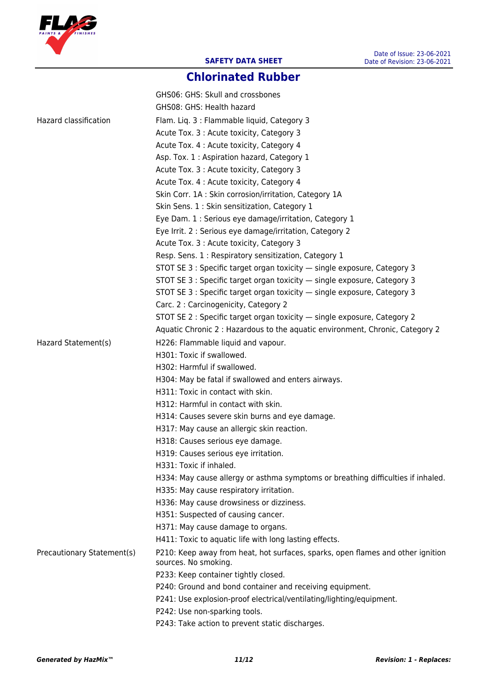

# **Chlorinated Rubber**

|                            | GHS06: GHS: Skull and crossbones                                                 |
|----------------------------|----------------------------------------------------------------------------------|
|                            | GHS08: GHS: Health hazard                                                        |
| Hazard classification      | Flam. Liq. 3 : Flammable liquid, Category 3                                      |
|                            | Acute Tox. 3 : Acute toxicity, Category 3                                        |
|                            | Acute Tox. 4 : Acute toxicity, Category 4                                        |
|                            | Asp. Tox. 1 : Aspiration hazard, Category 1                                      |
|                            | Acute Tox. 3 : Acute toxicity, Category 3                                        |
|                            | Acute Tox. 4 : Acute toxicity, Category 4                                        |
|                            | Skin Corr. 1A : Skin corrosion/irritation, Category 1A                           |
|                            | Skin Sens. 1 : Skin sensitization, Category 1                                    |
|                            | Eye Dam. 1 : Serious eye damage/irritation, Category 1                           |
|                            | Eye Irrit. 2 : Serious eye damage/irritation, Category 2                         |
|                            | Acute Tox. 3 : Acute toxicity, Category 3                                        |
|                            | Resp. Sens. 1 : Respiratory sensitization, Category 1                            |
|                            | STOT SE 3 : Specific target organ toxicity - single exposure, Category 3         |
|                            | STOT SE 3 : Specific target organ toxicity - single exposure, Category 3         |
|                            | STOT SE 3 : Specific target organ toxicity - single exposure, Category 3         |
|                            | Carc. 2 : Carcinogenicity, Category 2                                            |
|                            | STOT SE 2 : Specific target organ toxicity - single exposure, Category 2         |
|                            | Aquatic Chronic 2 : Hazardous to the aquatic environment, Chronic, Category 2    |
| Hazard Statement(s)        | H226: Flammable liquid and vapour.                                               |
|                            | H301: Toxic if swallowed.                                                        |
|                            | H302: Harmful if swallowed.                                                      |
|                            | H304: May be fatal if swallowed and enters airways.                              |
|                            | H311: Toxic in contact with skin.                                                |
|                            | H312: Harmful in contact with skin.                                              |
|                            | H314: Causes severe skin burns and eye damage.                                   |
|                            | H317: May cause an allergic skin reaction.                                       |
|                            | H318: Causes serious eye damage.                                                 |
|                            | H319: Causes serious eye irritation.                                             |
|                            | H331: Toxic if inhaled.                                                          |
|                            | H334: May cause allergy or asthma symptoms or breathing difficulties if inhaled. |
|                            | H335: May cause respiratory irritation.                                          |
|                            | H336: May cause drowsiness or dizziness.                                         |
|                            | H351: Suspected of causing cancer.                                               |
|                            | H371: May cause damage to organs.                                                |
|                            | H411: Toxic to aquatic life with long lasting effects.                           |
| Precautionary Statement(s) | P210: Keep away from heat, hot surfaces, sparks, open flames and other ignition  |
|                            | sources. No smoking.                                                             |
|                            | P233: Keep container tightly closed.                                             |
|                            | P240: Ground and bond container and receiving equipment.                         |
|                            | P241: Use explosion-proof electrical/ventilating/lighting/equipment.             |
|                            | P242: Use non-sparking tools.                                                    |
|                            | P243: Take action to prevent static discharges.                                  |